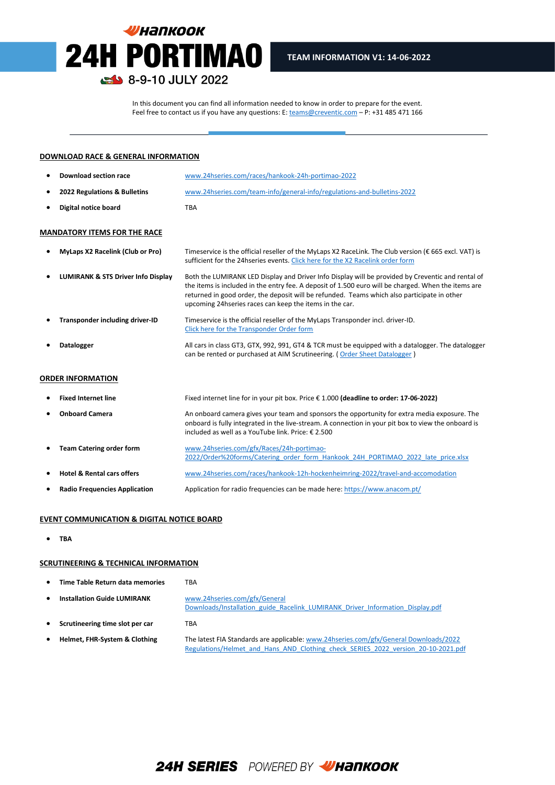# **УНАПКООК 24H PORTIMAO** 8-9-10 JULY 2022

In this document you can find all information needed to know in order to prepare for the event. Feel free to contact us if you have any questions: E[: teams@creventic.com](mailto:teams@creventic.com) – P: +31 485 471 166

l

#### **DOWNLOAD RACE & GENERAL INFORMATION**

| Download section race        | www.24hseries.com/races/hankook-24h-portimao-2022                       |
|------------------------------|-------------------------------------------------------------------------|
| 2022 Regulations & Bulletins | www.24hseries.com/team-info/general-info/regulations-and-bulletins-2022 |
| Digital notice board         | TBA                                                                     |

#### **MANDATORY ITEMS FOR THE RACE**

| $\bullet$ | <b>MyLaps X2 Racelink (Club or Pro)</b> | Timeservice is the official reseller of the MyLaps X2 RaceLink. The Club version ( $\epsilon$ 665 excl. VAT) is<br>sufficient for the 24 hseries events. Click here for the X2 Racelink order form                                                                                                                                                                  |
|-----------|-----------------------------------------|---------------------------------------------------------------------------------------------------------------------------------------------------------------------------------------------------------------------------------------------------------------------------------------------------------------------------------------------------------------------|
| ٠         | LUMIRANK & STS Driver Info Display      | Both the LUMIRANK LED Display and Driver Info Display will be provided by Creventic and rental of<br>the items is included in the entry fee. A deposit of 1.500 euro will be charged. When the items are<br>returned in good order, the deposit will be refunded. Teams which also participate in other<br>upcoming 24 hseries races can keep the items in the car. |
|           | Transponder including driver-ID         | Timeservice is the official reseller of the MyLaps Transponder incl. driver-ID.<br>Click here for the Transponder Order form                                                                                                                                                                                                                                        |
|           | <b>Datalogger</b>                       | All cars in class GT3, GTX, 992, 991, GT4 & TCR must be equipped with a datalogger. The datalogger<br>can be rented or purchased at AIM Scrutineering. (Order Sheet Datalogger)                                                                                                                                                                                     |

#### **ORDER INFORMATION**

| ٠         | <b>Fixed Internet line</b>            | Fixed internet line for in your pit box. Price € 1.000 (deadline to order: 17-06-2022)                                                                                                                                                                    |
|-----------|---------------------------------------|-----------------------------------------------------------------------------------------------------------------------------------------------------------------------------------------------------------------------------------------------------------|
| ٠         | <b>Onboard Camera</b>                 | An onboard camera gives your team and sponsors the opportunity for extra media exposure. The<br>onboard is fully integrated in the live-stream. A connection in your pit box to view the onboard is<br>included as well as a YouTube link. Price: € 2.500 |
| $\bullet$ | <b>Team Catering order form</b>       | www.24hseries.com/gfx/Races/24h-portimao-<br>2022/Order%20forms/Catering order form Hankook 24H PORTIMAO 2022 late price.xlsx                                                                                                                             |
| ٠         | <b>Hotel &amp; Rental cars offers</b> | www.24hseries.com/races/hankook-12h-hockenheimring-2022/travel-and-accomodation                                                                                                                                                                           |
| $\bullet$ | <b>Radio Frequencies Application</b>  | Application for radio frequencies can be made here: https://www.anacom.pt/                                                                                                                                                                                |

## **EVENT COMMUNICATION & DIGITAL NOTICE BOARD**

• **TBA**

## **SCRUTINEERING & TECHNICAL INFORMATION**

|  | Time Table Return data memories | <b>TBA</b> |
|--|---------------------------------|------------|
|--|---------------------------------|------------|

| ٠         | <b>Installation Guide LUMIRANK</b> | www.24hseries.com/gfx/General<br>Downloads/Installation guide Racelink LUMIRANK Driver Information Display.pdf                                                             |
|-----------|------------------------------------|----------------------------------------------------------------------------------------------------------------------------------------------------------------------------|
| $\bullet$ | Scrutineering time slot per car    | TBA                                                                                                                                                                        |
| $\bullet$ | Helmet, FHR-System & Clothing      | The latest FIA Standards are applicable: www.24hseries.com/gfx/General Downloads/2022<br>Regulations/Helmet and Hans AND Clothing check SERIES 2022 version 20-10-2021.pdf |

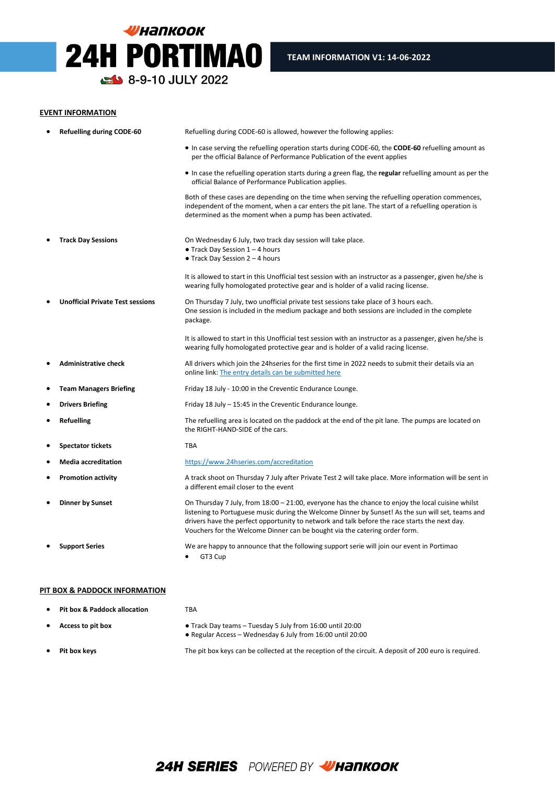# **УНАПКООК** 24H PORTIMAO 8-9-10 JULY 2022

### **EVENT INFORMATION**

|           | <b>Refuelling during CODE-60</b>        | Refuelling during CODE-60 is allowed, however the following applies:                                                                                                                                                                                                                                                                                                                  |
|-----------|-----------------------------------------|---------------------------------------------------------------------------------------------------------------------------------------------------------------------------------------------------------------------------------------------------------------------------------------------------------------------------------------------------------------------------------------|
|           |                                         | • In case serving the refuelling operation starts during CODE-60, the <b>CODE-60</b> refuelling amount as<br>per the official Balance of Performance Publication of the event applies                                                                                                                                                                                                 |
|           |                                         | • In case the refuelling operation starts during a green flag, the <b>regular</b> refuelling amount as per the<br>official Balance of Performance Publication applies.                                                                                                                                                                                                                |
|           |                                         | Both of these cases are depending on the time when serving the refuelling operation commences,<br>independent of the moment, when a car enters the pit lane. The start of a refuelling operation is<br>determined as the moment when a pump has been activated.                                                                                                                       |
|           | <b>Track Day Sessions</b>               | On Wednesday 6 July, two track day session will take place.<br>$\bullet$ Track Day Session 1 - 4 hours<br>$\bullet$ Track Day Session 2 - 4 hours                                                                                                                                                                                                                                     |
|           |                                         | It is allowed to start in this Unofficial test session with an instructor as a passenger, given he/she is<br>wearing fully homologated protective gear and is holder of a valid racing license.                                                                                                                                                                                       |
|           | <b>Unofficial Private Test sessions</b> | On Thursday 7 July, two unofficial private test sessions take place of 3 hours each.<br>One session is included in the medium package and both sessions are included in the complete<br>package.                                                                                                                                                                                      |
|           |                                         | It is allowed to start in this Unofficial test session with an instructor as a passenger, given he/she is<br>wearing fully homologated protective gear and is holder of a valid racing license.                                                                                                                                                                                       |
|           | <b>Administrative check</b>             | All drivers which join the 24 hseries for the first time in 2022 needs to submit their details via an<br>online link: The entry details can be submitted here                                                                                                                                                                                                                         |
| $\bullet$ | <b>Team Managers Briefing</b>           | Friday 18 July - 10:00 in the Creventic Endurance Lounge.                                                                                                                                                                                                                                                                                                                             |
| $\bullet$ | <b>Drivers Briefing</b>                 | Friday 18 July – 15:45 in the Creventic Endurance lounge.                                                                                                                                                                                                                                                                                                                             |
| $\bullet$ | <b>Refuelling</b>                       | The refuelling area is located on the paddock at the end of the pit lane. The pumps are located on<br>the RIGHT-HAND-SIDE of the cars.                                                                                                                                                                                                                                                |
| ٠         | <b>Spectator tickets</b>                | <b>TBA</b>                                                                                                                                                                                                                                                                                                                                                                            |
| $\bullet$ | <b>Media accreditation</b>              | https://www.24hseries.com/accreditation                                                                                                                                                                                                                                                                                                                                               |
| ٠         | <b>Promotion activity</b>               | A track shoot on Thursday 7 July after Private Test 2 will take place. More information will be sent in<br>a different email closer to the event                                                                                                                                                                                                                                      |
|           | <b>Dinner by Sunset</b>                 | On Thursday 7 July, from 18:00 - 21:00, everyone has the chance to enjoy the local cuisine whilst<br>listening to Portuguese music during the Welcome Dinner by Sunset! As the sun will set, teams and<br>drivers have the perfect opportunity to network and talk before the race starts the next day.<br>Vouchers for the Welcome Dinner can be bought via the catering order form. |
|           | <b>Support Series</b>                   | We are happy to announce that the following support serie will join our event in Portimao<br>GT3 Cup                                                                                                                                                                                                                                                                                  |

## **PIT BOX & PADDOCK INFORMATION**

| <b>Pit box &amp; Paddock allocation</b> | TBA                                                                                                                     |
|-----------------------------------------|-------------------------------------------------------------------------------------------------------------------------|
| Access to pit box                       | • Track Day teams – Tuesday 5 July from 16:00 until 20:00<br>• Regular Access – Wednesday 6 July from 16:00 until 20:00 |
| Pit box keys                            | The pit box keys can be collected at the reception of the circuit. A deposit of 200 euro is required                    |